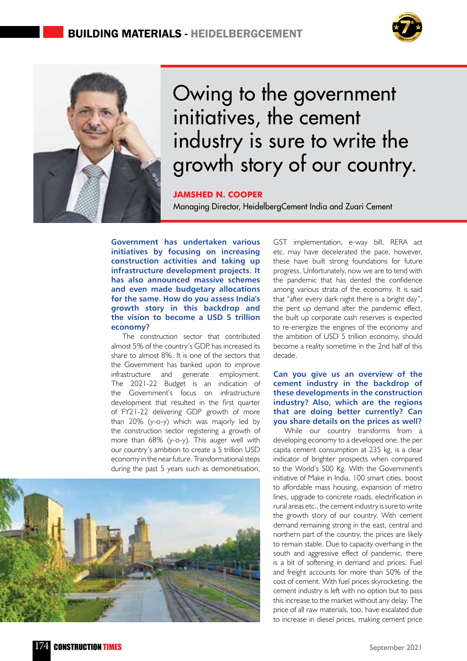



# Owing to the government initiatives, the cement industry is sure to write the growth story of our country.

#### **Jamshed N. Cooper**

Managing Director, HeidelbergCement India and Zuari Cement

**Government has undertaken various initiatives by focusing on increasing construction activities and taking up infrastructure development projects. It has also announced massive schemes and even made budgetary allocations for the same. How do you assess India's growth story in this backdrop and the vision to become a USD 5 trillion economy?**

The construction sector that contributed almost 5% of the country's GDP, has increased its share to almost 8%. It is one of the sectors that the Government has banked upon to improve infrastructure and generate employment. The 2021-22 Budget is an indication of the Government's focus on infrastructure development that resulted in the first quarter of FY21-22 delivering GDP growth of more than 20% (y-o-y) which was majorly led by the construction sector registering a growth of more than 68% (y-o-y). This auger well with our country's ambition to create a 5 trillion USD economy in the near future. Transformational steps during the past 5 years such as demonetisation,



GST implementation, e-way bill, RERA act etc. may have decelerated the pace, however, these have built strong foundations for future progress. Unfortunately, now we are to tend with the pandemic that has dented the confidence among various strata of the economy. It is said that "after every dark night there is a bright day", the pent up demand after the pandemic effect, the built up corporate cash reserves is expected to re-energize the engines of the economy and the ambition of USD 5 trillion economy, should become a reality sometime in the 2nd half of this decade.

#### **Can you give us an overview of the cement industry in the backdrop of these developments in the construction industry? Also, which are the regions that are doing better currently? Can you share details on the prices as well?**

While our country transforms from a developing economy to a developed one, the per capita cement consumption at 235 kg, is a clear indicator of brighter prospects when compared to the World's 500 Kg. With the Government's initiative of Make in India, 100 smart cities, boost to affordable mass housing, expansion of metro lines, upgrade to concrete roads, electrification in rural areas etc., the cement industry is sure to write the growth story of our country. With cement demand remaining strong in the east, central and northern part of the country, the prices are likely to remain stable. Due to capacity overhang in the south and aggressive effect of pandemic, there is a bit of softening in demand and prices. Fuel and freight accounts for more than 50% of the cost of cement. With fuel prices skyrocketing, the cement industry is left with no option but to pass this increase to the market without any delay. The price of all raw materials, too, have escalated due to increase in diesel prices, making cement price